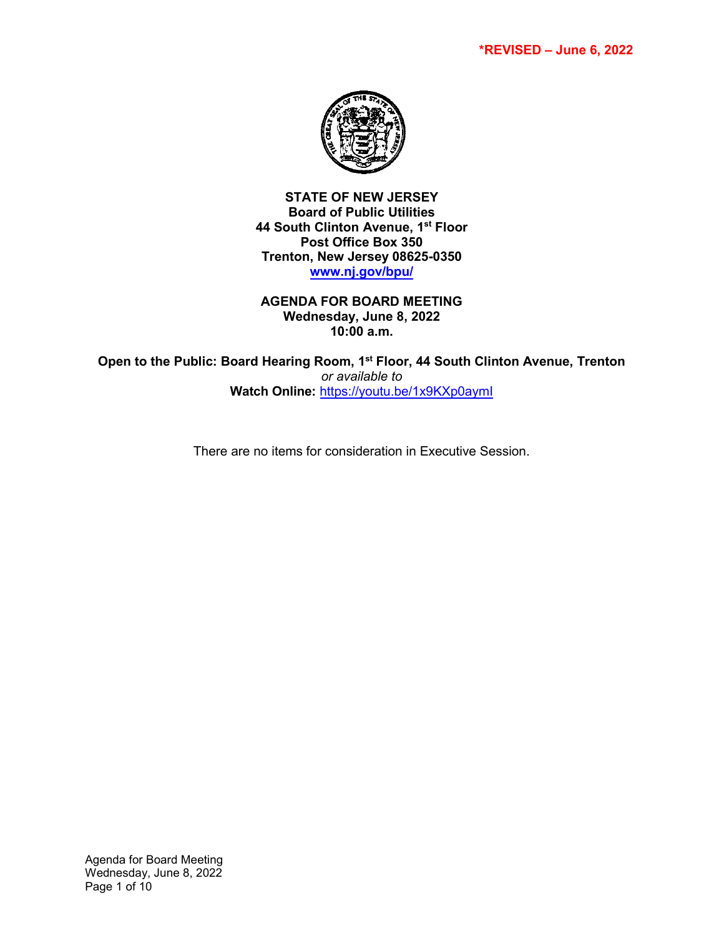

**STATE OF NEW JERSEY Board of Public Utilities 44 South Clinton Avenue, 1st Floor Post Office Box 350 Trenton, New Jersey 08625-0350 [www.nj.gov/bpu/](http://www.nj.gov/bpu/)**

**AGENDA FOR BOARD MEETING Wednesday, June 8, 2022 10:00 a.m.**

**Open to the Public: Board Hearing Room, 1st Floor, 44 South Clinton Avenue, Trenton**  *or available to* **Watch Online:** <https://youtu.be/1x9KXp0aymI>

There are no items for consideration in Executive Session.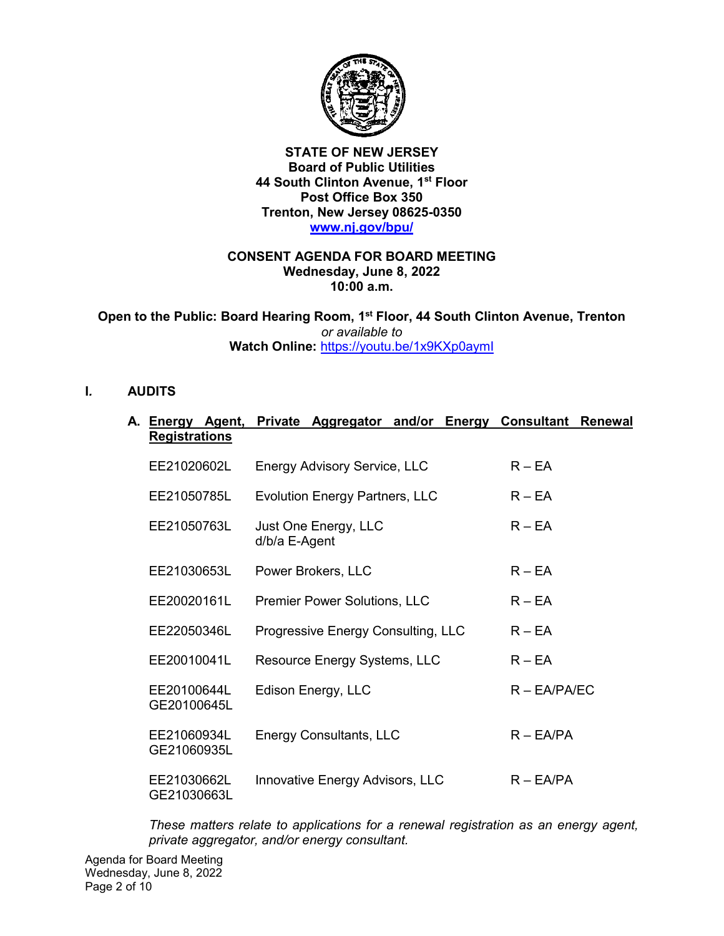

**STATE OF NEW JERSEY Board of Public Utilities 44 South Clinton Avenue, 1st Floor Post Office Box 350 Trenton, New Jersey 08625-0350 [www.nj.gov/bpu/](http://www.nj.gov/bpu/)**

#### **CONSENT AGENDA FOR BOARD MEETING Wednesday, June 8, 2022 10:00 a.m.**

**Open to the Public: Board Hearing Room, 1st Floor, 44 South Clinton Avenue, Trenton**  *or available to* **Watch Online:** <https://youtu.be/1x9KXp0aymI>

## **I***.* **AUDITS**

| А. | Energy Agent,              | Private Aggregator and/or Energy Consultant | <b>Renewal</b>  |
|----|----------------------------|---------------------------------------------|-----------------|
|    | <b>Registrations</b>       |                                             |                 |
|    | EE21020602L                | <b>Energy Advisory Service, LLC</b>         | $R - EA$        |
|    | EE21050785L                | <b>Evolution Energy Partners, LLC</b>       | $R - EA$        |
|    | EE21050763L                | Just One Energy, LLC<br>d/b/a E-Agent       | $R - EA$        |
|    | EE21030653L                | Power Brokers, LLC                          | $R - EA$        |
|    | EE20020161L                | <b>Premier Power Solutions, LLC</b>         | $R - EA$        |
|    | EE22050346L                | Progressive Energy Consulting, LLC          | $R - EA$        |
|    | EE20010041L                | Resource Energy Systems, LLC                | $R - EA$        |
|    | EE20100644L<br>GE20100645L | Edison Energy, LLC                          | $R - EA/PA/EC$  |
|    | EE21060934L<br>GE21060935L | <b>Energy Consultants, LLC</b>              | $R - E A / P A$ |
|    | EE21030662L<br>GE21030663L | Innovative Energy Advisors, LLC             | $R - E A / P A$ |

*These matters relate to applications for a renewal registration as an energy agent, private aggregator, and/or energy consultant.*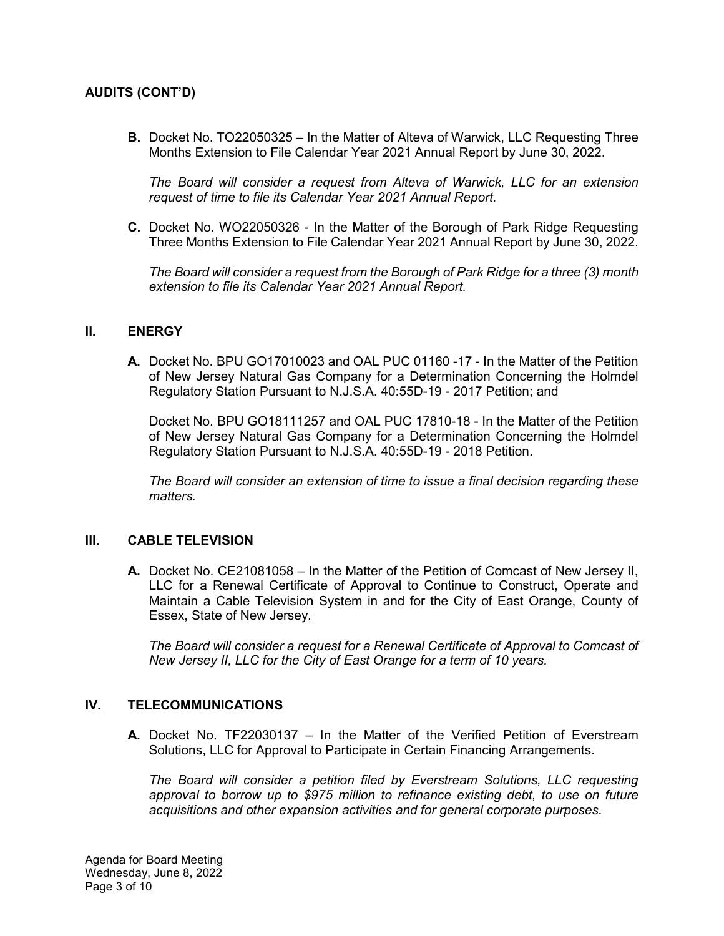# **AUDITS (CONT'D)**

**B.** Docket No. TO22050325 – In the Matter of Alteva of Warwick, LLC Requesting Three Months Extension to File Calendar Year 2021 Annual Report by June 30, 2022.

*The Board will consider a request from Alteva of Warwick, LLC for an extension request of time to file its Calendar Year 2021 Annual Report.*

**C.** Docket No. WO22050326 - In the Matter of the Borough of Park Ridge Requesting Three Months Extension to File Calendar Year 2021 Annual Report by June 30, 2022.

*The Board will consider a request from the Borough of Park Ridge for a three (3) month extension to file its Calendar Year 2021 Annual Report.*

#### **II. ENERGY**

**A.** Docket No. BPU GO17010023 and OAL PUC 01160 -17 - In the Matter of the Petition of New Jersey Natural Gas Company for a Determination Concerning the Holmdel Regulatory Station Pursuant to N.J.S.A. 40:55D-19 - 2017 Petition; and

Docket No. BPU GO18111257 and OAL PUC 17810-18 - In the Matter of the Petition of New Jersey Natural Gas Company for a Determination Concerning the Holmdel Regulatory Station Pursuant to N.J.S.A. 40:55D-19 - 2018 Petition.

*The Board will consider an extension of time to issue a final decision regarding these matters.*

#### **III. CABLE TELEVISION**

**A.** Docket No. CE21081058 – In the Matter of the Petition of Comcast of New Jersey II, LLC for a Renewal Certificate of Approval to Continue to Construct, Operate and Maintain a Cable Television System in and for the City of East Orange, County of Essex, State of New Jersey.

*The Board will consider a request for a Renewal Certificate of Approval to Comcast of New Jersey II, LLC for the City of East Orange for a term of 10 years.* 

### **IV. TELECOMMUNICATIONS**

**A.** Docket No. TF22030137 – In the Matter of the Verified Petition of Everstream Solutions, LLC for Approval to Participate in Certain Financing Arrangements.

*The Board will consider a petition filed by Everstream Solutions, LLC requesting approval to borrow up to \$975 million to refinance existing debt, to use on future acquisitions and other expansion activities and for general corporate purposes.*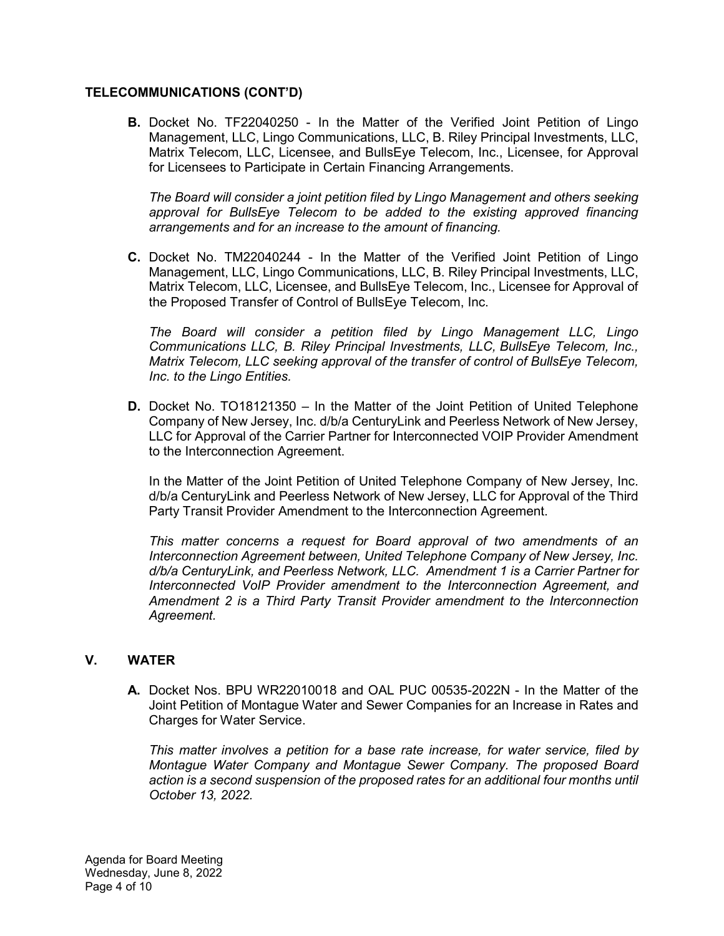### **TELECOMMUNICATIONS (CONT'D)**

**B.** Docket No. TF22040250 - In the Matter of the Verified Joint Petition of Lingo Management, LLC, Lingo Communications, LLC, B. Riley Principal Investments, LLC, Matrix Telecom, LLC, Licensee, and BullsEye Telecom, Inc., Licensee, for Approval for Licensees to Participate in Certain Financing Arrangements.

*The Board will consider a joint petition filed by Lingo Management and others seeking approval for BullsEye Telecom to be added to the existing approved financing arrangements and for an increase to the amount of financing.*

**C.** Docket No. TM22040244 - In the Matter of the Verified Joint Petition of Lingo Management, LLC, Lingo Communications, LLC, B. Riley Principal Investments, LLC, Matrix Telecom, LLC, Licensee, and BullsEye Telecom, Inc., Licensee for Approval of the Proposed Transfer of Control of BullsEye Telecom, Inc.

*The Board will consider a petition filed by Lingo Management LLC, Lingo Communications LLC, B. Riley Principal Investments, LLC, BullsEye Telecom, Inc., Matrix Telecom, LLC seeking approval of the transfer of control of BullsEye Telecom, Inc. to the Lingo Entities.*

**D.** Docket No. TO18121350 – In the Matter of the Joint Petition of United Telephone Company of New Jersey, Inc. d/b/a CenturyLink and Peerless Network of New Jersey, LLC for Approval of the Carrier Partner for Interconnected VOIP Provider Amendment to the Interconnection Agreement.

In the Matter of the Joint Petition of United Telephone Company of New Jersey, Inc. d/b/a CenturyLink and Peerless Network of New Jersey, LLC for Approval of the Third Party Transit Provider Amendment to the Interconnection Agreement.

*This matter concerns a request for Board approval of two amendments of an Interconnection Agreement between, United Telephone Company of New Jersey, Inc. d/b/a CenturyLink, and Peerless Network, LLC. Amendment 1 is a Carrier Partner for Interconnected VoIP Provider amendment to the Interconnection Agreement, and Amendment 2 is a Third Party Transit Provider amendment to the Interconnection Agreement.*

### **V. WATER**

**A.** Docket Nos. BPU WR22010018 and OAL PUC 00535-2022N - In the Matter of the Joint Petition of Montague Water and Sewer Companies for an Increase in Rates and Charges for Water Service.

*This matter involves a petition for a base rate increase, for water service, filed by Montague Water Company and Montague Sewer Company. The proposed Board action is a second suspension of the proposed rates for an additional four months until October 13, 2022.*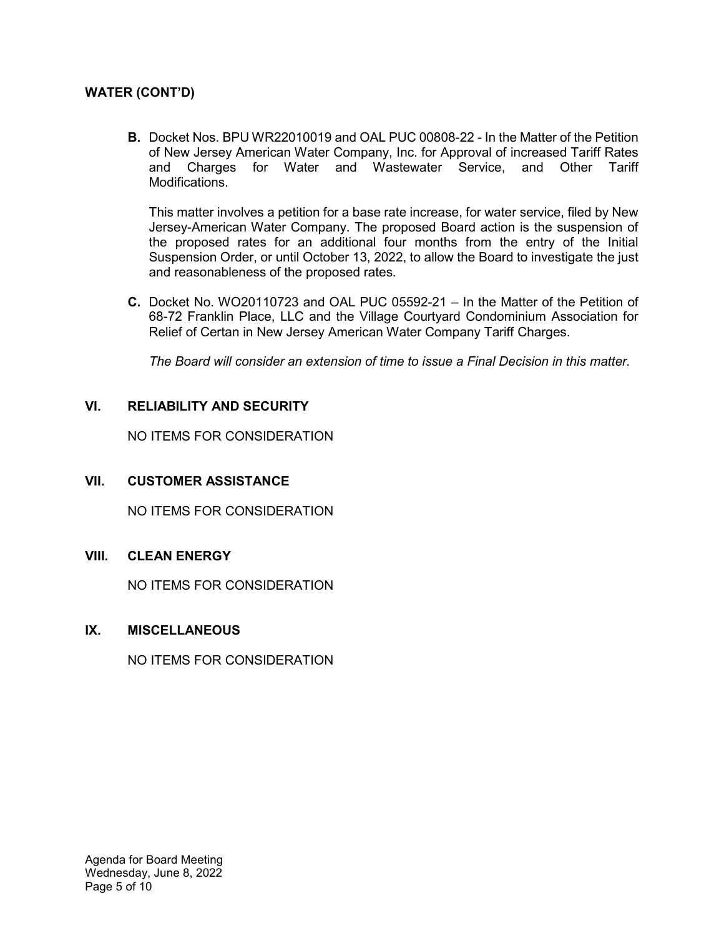# **WATER (CONT'D)**

**B.** Docket Nos. BPU WR22010019 and OAL PUC 00808-22 - In the Matter of the Petition of New Jersey American Water Company, Inc. for Approval of increased Tariff Rates and Charges for Water and Wastewater Service, and Other Tariff Modifications.

This matter involves a petition for a base rate increase, for water service, filed by New Jersey-American Water Company. The proposed Board action is the suspension of the proposed rates for an additional four months from the entry of the Initial Suspension Order, or until October 13, 2022, to allow the Board to investigate the just and reasonableness of the proposed rates.

**C.** Docket No. WO20110723 and OAL PUC 05592-21 – In the Matter of the Petition of 68-72 Franklin Place, LLC and the Village Courtyard Condominium Association for Relief of Certan in New Jersey American Water Company Tariff Charges.

*The Board will consider an extension of time to issue a Final Decision in this matter.* 

# **VI. RELIABILITY AND SECURITY**

NO ITEMS FOR CONSIDERATION

# **VII. CUSTOMER ASSISTANCE**

NO ITEMS FOR CONSIDERATION

# **VIII. CLEAN ENERGY**

NO ITEMS FOR CONSIDERATION

### **IX. MISCELLANEOUS**

NO ITEMS FOR CONSIDERATION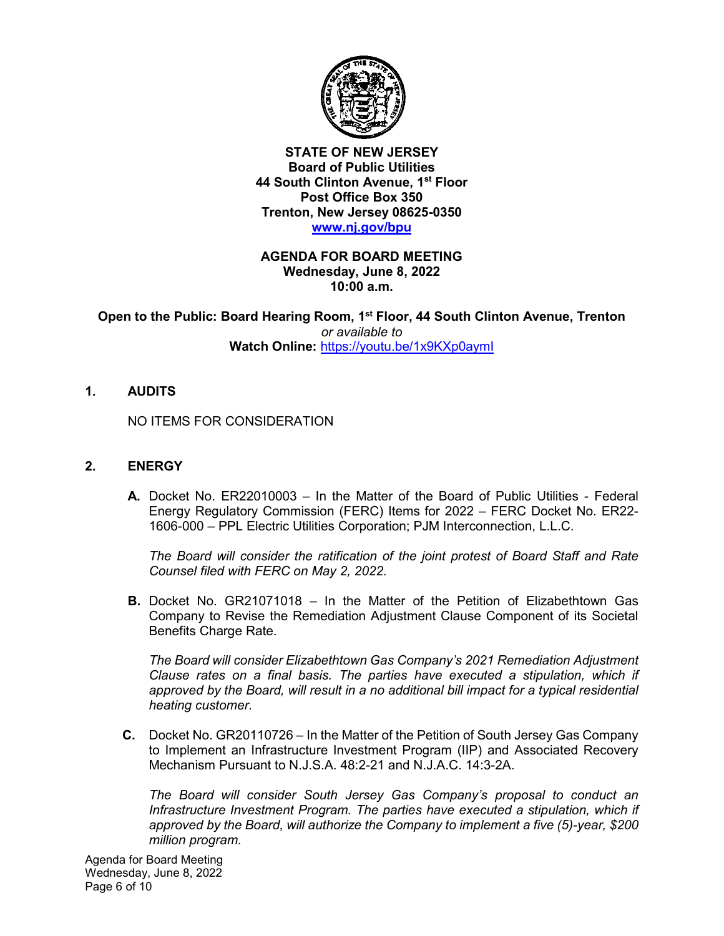

**STATE OF NEW JERSEY Board of Public Utilities 44 South Clinton Avenue, 1st Floor Post Office Box 350 Trenton, New Jersey 08625-0350 [www.nj.gov/bpu](http://www.nj.gov/bpu)** 

**AGENDA FOR BOARD MEETING Wednesday, June 8, 2022 10:00 a.m.** 

**Open to the Public: Board Hearing Room, 1st Floor, 44 South Clinton Avenue, Trenton**  *or available to* **Watch Online:** <https://youtu.be/1x9KXp0aymI>

**1. AUDITS**

NO ITEMS FOR CONSIDERATION

### **2. ENERGY**

**A.** Docket No. ER22010003 – In the Matter of the Board of Public Utilities - Federal Energy Regulatory Commission (FERC) Items for 2022 – FERC Docket No. ER22- 1606-000 – PPL Electric Utilities Corporation; PJM Interconnection, L.L.C.

*The Board will consider the ratification of the joint protest of Board Staff and Rate Counsel filed with FERC on May 2, 2022*.

**B.** Docket No. GR21071018 – In the Matter of the Petition of Elizabethtown Gas Company to Revise the Remediation Adjustment Clause Component of its Societal Benefits Charge Rate.

*The Board will consider Elizabethtown Gas Company's 2021 Remediation Adjustment Clause rates on a final basis. The parties have executed a stipulation, which if approved by the Board, will result in a no additional bill impact for a typical residential heating customer.*

**C.** Docket No. GR20110726 – In the Matter of the Petition of South Jersey Gas Company to Implement an Infrastructure Investment Program (IIP) and Associated Recovery Mechanism Pursuant to N.J.S.A. 48:2-21 and N.J.A.C. 14:3-2A.

*The Board will consider South Jersey Gas Company's proposal to conduct an Infrastructure Investment Program. The parties have executed a stipulation, which if approved by the Board, will authorize the Company to implement a five (5)-year, \$200 million program.*

Agenda for Board Meeting Wednesday, June 8, 2022 Page 6 of 10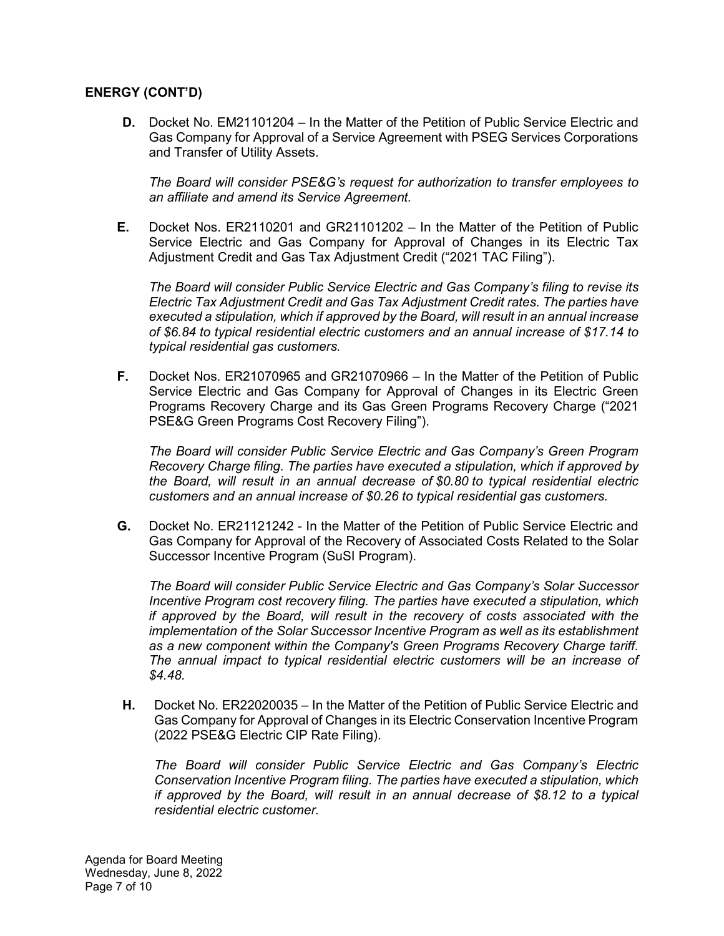## **ENERGY (CONT'D)**

**D.** Docket No. EM21101204 – In the Matter of the Petition of Public Service Electric and Gas Company for Approval of a Service Agreement with PSEG Services Corporations and Transfer of Utility Assets.

*The Board will consider PSE&G's request for authorization to transfer employees to an affiliate and amend its Service Agreement.*

**E.** Docket Nos. ER2110201 and GR21101202 – In the Matter of the Petition of Public Service Electric and Gas Company for Approval of Changes in its Electric Tax Adjustment Credit and Gas Tax Adjustment Credit ("2021 TAC Filing").

*The Board will consider Public Service Electric and Gas Company's filing to revise its Electric Tax Adjustment Credit and Gas Tax Adjustment Credit rates. The parties have executed a stipulation, which if approved by the Board, will result in an annual increase of \$6.84 to typical residential electric customers and an annual increase of \$17.14 to typical residential gas customers.*

**F.** Docket Nos. ER21070965 and GR21070966 – In the Matter of the Petition of Public Service Electric and Gas Company for Approval of Changes in its Electric Green Programs Recovery Charge and its Gas Green Programs Recovery Charge ("2021 PSE&G Green Programs Cost Recovery Filing").

*The Board will consider Public Service Electric and Gas Company's Green Program Recovery Charge filing. The parties have executed a stipulation, which if approved by the Board, will result in an annual decrease of \$0.80 to typical residential electric customers and an annual increase of \$0.26 to typical residential gas customers.*

**G.** Docket No. ER21121242 - In the Matter of the Petition of Public Service Electric and Gas Company for Approval of the Recovery of Associated Costs Related to the Solar Successor Incentive Program (SuSI Program).

*The Board will consider Public Service Electric and Gas Company's Solar Successor Incentive Program cost recovery filing. The parties have executed a stipulation, which if approved by the Board, will result in the recovery of costs associated with the implementation of the Solar Successor Incentive Program as well as its establishment as a new component within the Company's Green Programs Recovery Charge tariff. The annual impact to typical residential electric customers will be an increase of \$4.48.*

**H.** Docket No. ER22020035 – In the Matter of the Petition of Public Service Electric and Gas Company for Approval of Changes in its Electric Conservation Incentive Program (2022 PSE&G Electric CIP Rate Filing).

*The Board will consider Public Service Electric and Gas Company's Electric Conservation Incentive Program filing. The parties have executed a stipulation, which if approved by the Board, will result in an annual decrease of \$8.12 to a typical residential electric customer.*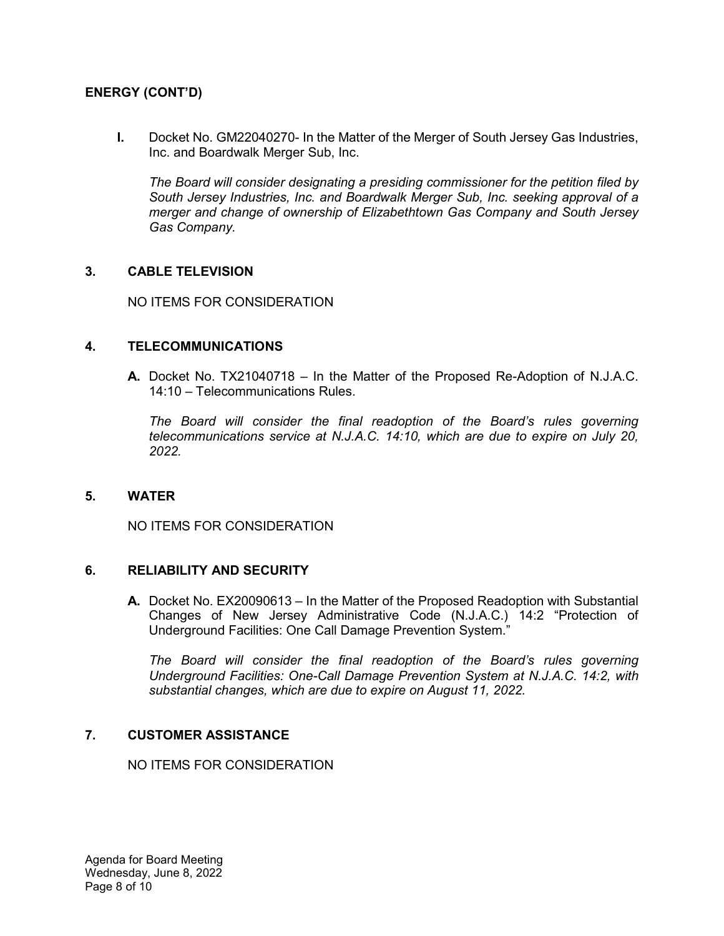# **ENERGY (CONT'D)**

**I.** Docket No. GM22040270- In the Matter of the Merger of South Jersey Gas Industries, Inc. and Boardwalk Merger Sub, Inc.

*The Board will consider designating a presiding commissioner for the petition filed by South Jersey Industries, Inc. and Boardwalk Merger Sub, Inc. seeking approval of a merger and change of ownership of Elizabethtown Gas Company and South Jersey Gas Company.*

### **3. CABLE TELEVISION**

NO ITEMS FOR CONSIDERATION

#### **4. TELECOMMUNICATIONS**

**A.** Docket No. TX21040718 – In the Matter of the Proposed Re-Adoption of N.J.A.C. 14:10 – Telecommunications Rules.

*The Board will consider the final readoption of the Board's rules governing telecommunications service at N.J.A.C. 14:10, which are due to expire on July 20, 2022.* 

#### **5. WATER**

NO ITEMS FOR CONSIDERATION

#### **6. RELIABILITY AND SECURITY**

**A.** Docket No. EX20090613 – In the Matter of the Proposed Readoption with Substantial Changes of New Jersey Administrative Code (N.J.A.C.) 14:2 "Protection of Underground Facilities: One Call Damage Prevention System."

*The Board will consider the final readoption of the Board's rules governing Underground Facilities: One-Call Damage Prevention System at N.J.A.C. 14:2, with substantial changes, which are due to expire on August 11, 2022.* 

### **7. CUSTOMER ASSISTANCE**

NO ITEMS FOR CONSIDERATION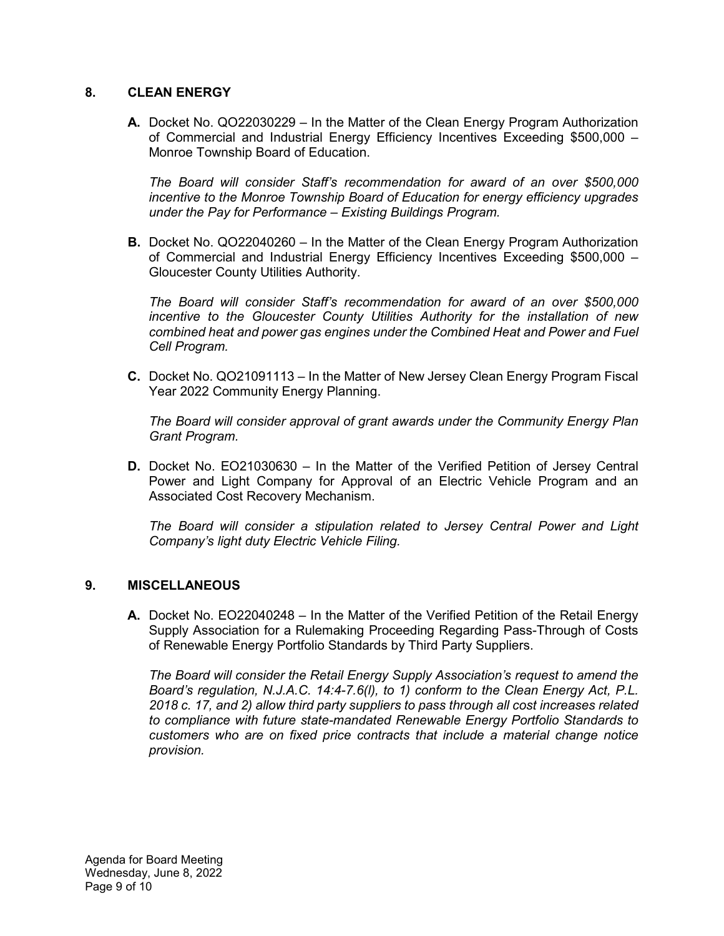# **8. CLEAN ENERGY**

**A.** Docket No. QO22030229 – In the Matter of the Clean Energy Program Authorization of Commercial and Industrial Energy Efficiency Incentives Exceeding \$500,000 – Monroe Township Board of Education.

*The Board will consider Staff's recommendation for award of an over \$500,000 incentive to the Monroe Township Board of Education for energy efficiency upgrades under the Pay for Performance – Existing Buildings Program.* 

**B.** Docket No. QO22040260 – In the Matter of the Clean Energy Program Authorization of Commercial and Industrial Energy Efficiency Incentives Exceeding \$500,000 – Gloucester County Utilities Authority.

*The Board will consider Staff's recommendation for award of an over \$500,000 incentive to the Gloucester County Utilities Authority for the installation of new combined heat and power gas engines under the Combined Heat and Power and Fuel Cell Program.*

**C.** Docket No. QO21091113 – In the Matter of New Jersey Clean Energy Program Fiscal Year 2022 Community Energy Planning.

*The Board will consider approval of grant awards under the Community Energy Plan Grant Program.*

**D.** Docket No. EO21030630 – In the Matter of the Verified Petition of Jersey Central Power and Light Company for Approval of an Electric Vehicle Program and an Associated Cost Recovery Mechanism.

*The Board will consider a stipulation related to Jersey Central Power and Light Company's light duty Electric Vehicle Filing.*

### **9. MISCELLANEOUS**

**A.** Docket No. EO22040248 – In the Matter of the Verified Petition of the Retail Energy Supply Association for a Rulemaking Proceeding Regarding Pass-Through of Costs of Renewable Energy Portfolio Standards by Third Party Suppliers.

*The Board will consider the Retail Energy Supply Association's request to amend the Board's regulation, N.J.A.C. 14:4-7.6(l), to 1) conform to the Clean Energy Act, P.L. 2018 c. 17, and 2) allow third party suppliers to pass through all cost increases related to compliance with future state-mandated Renewable Energy Portfolio Standards to customers who are on fixed price contracts that include a material change notice provision.*